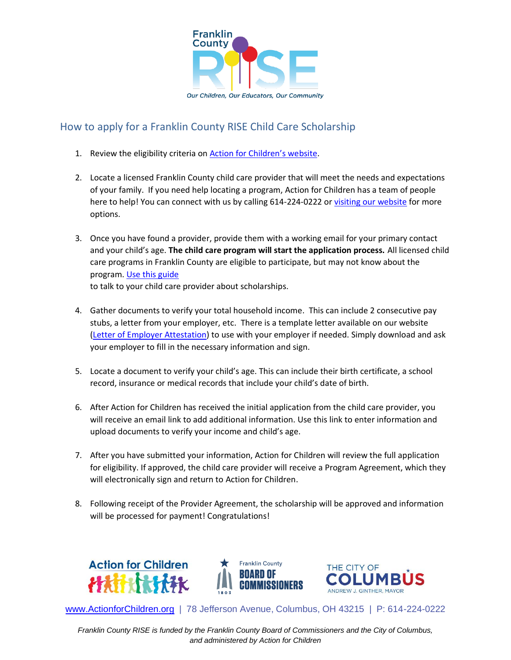

## How to apply for a Franklin County RISE Child Care Scholarship

- 1. Review the eligibility criteria on [Action for Children's website](https://www.actionforchildren.org/rise-scholarships/).
- 2. Locate a licensed Franklin County child care provider that will meet the needs and expectations of your family. If you need help locating a program, Action for Children has a team of people here to help! You can connect with us by calling 614-224-0222 o[r visiting our website](https://www.actionforchildren.org/choosing-child-care/) for more options.
- 3. Once you have found a provider, provide them with a working email for your primary contact and your child's age. **The child care program will start the application process.** All licensed child care programs in Franklin County are eligible to participate, but may not know about the program. [Use this guide](https://www.actionforchildren.org/wp-content/uploads/2022/04/How-to-talk-to-your-child-care-provider-about-Franklin-County-RISE-scholarships.pdf) to talk to your child care provider about scholarships.
- 4. Gather documents to verify your total household income. This can include 2 consecutive pay stubs, a letter from your employer, etc. There is a template letter available on our website [\(Letter of Employer Attestation\)](https://www.actionforchildren.org/wp-content/uploads/2022/04/Letter-of-Employer-Attestation1.docx) to use with your employer if needed. Simply download and ask your employer to fill in the necessary information and sign.
- 5. Locate a document to verify your child's age. This can include their birth certificate, a school record, insurance or medical records that include your child's date of birth.
- 6. After Action for Children has received the initial application from the child care provider, you will receive an email link to add additional information. Use this link to enter information and upload documents to verify your income and child's age.
- 7. After you have submitted your information, Action for Children will review the full application for eligibility. If approved, the child care provider will receive a Program Agreement, which they will electronically sign and return to Action for Children.
- 8. Following receipt of the Provider Agreement, the scholarship will be approved and information will be processed for payment! Congratulations!







[www.ActionforChildren.org](http://www.actionforchildren.org/) | 78 Jefferson Avenue, Columbus, OH 43215 | P: 614-224-0222

*Franklin County RISE is funded by the Franklin County Board of Commissioners and the City of Columbus, and administered by Action for Children*